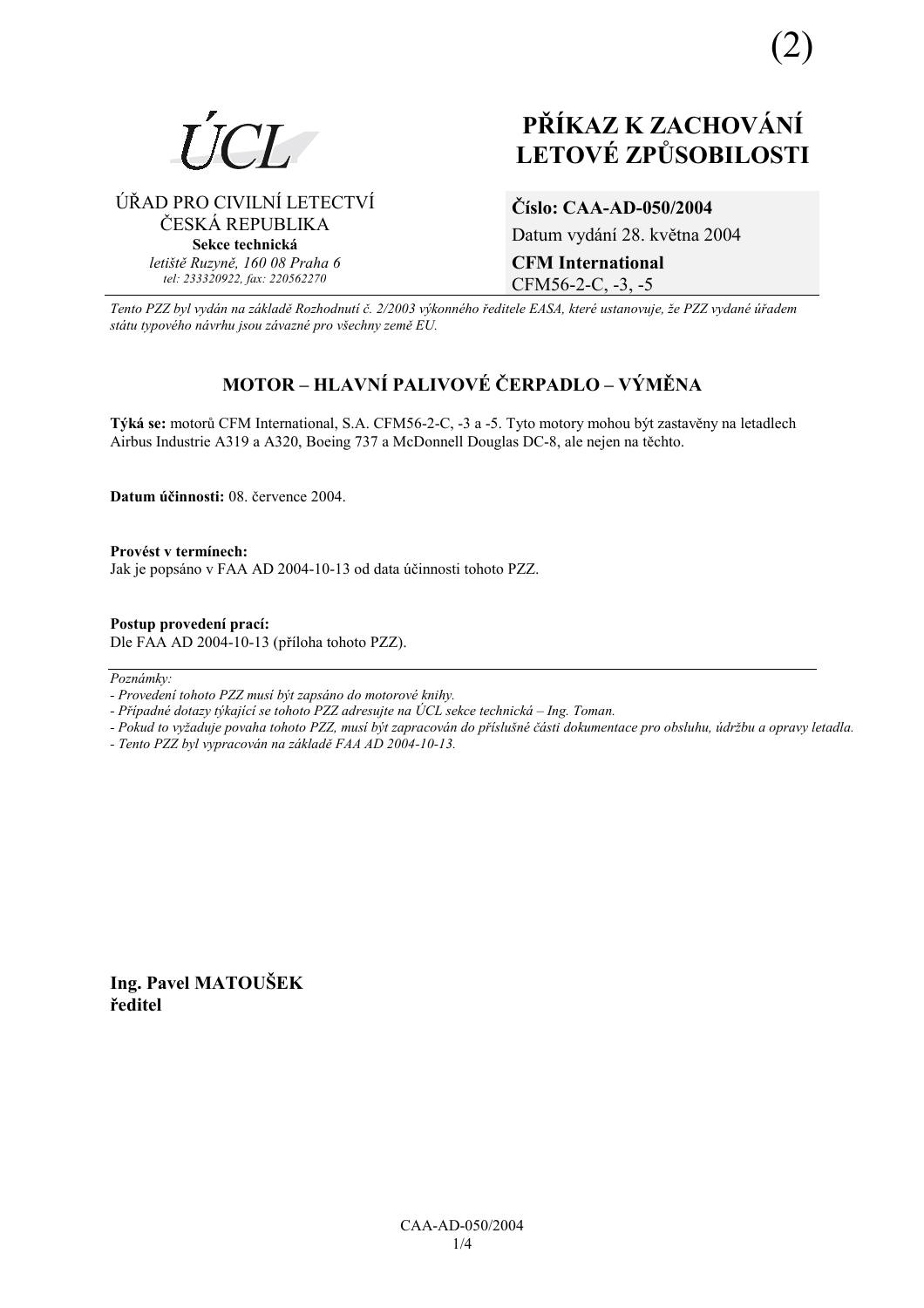

ÚŘAD PRO CIVILNÍ LETECTVÍ ČESKÁ REPUBLIKA **Sekce technická** *letiötě Ruzyně, 160 08 Praha 6 tel: 233320922, fax: 220562270*

# **PŘÍKAZ K ZACHOVÁNÍ LETOV… ZPŮSOBILOSTI**

**ČÌslo: CAA-AD-050/2004**  Datum vydání 28. května 2004 **CFM International** 

CFM56-2-C, -3, -5

*Tento PZZ byl vyd·n na z·kladě RozhodnutÌ č. 2/2003 v˝konnÈho ředitele EASA, kterÈ ustanovuje, ûe PZZ vydanÈ ˙řadem st·tu typovÈho n·vrhu jsou z·vaznÈ pro vöechny země EU.*

# **MOTOR – HLAVNÍ PALIVOVÉ ČERPADLO – VÝMĚNA**

Týká se: motorů CFM International, S.A. CFM56-2-C, -3 a -5. Tyto motory mohou být zastavěny na letadlech Airbus Industrie A319 a A320, Boeing 737 a McDonnell Douglas DC-8, ale nejen na těchto.

**Datum ˙činnosti:** 08. července 2004.

Provést v termínech: Jak je popsáno v FAA AD 2004-10-13 od data účinnosti tohoto PZZ.

**Postup provedenÌ pracÌ:**  Dle FAA AD 2004-10-13 (přÌloha tohoto PZZ).

 $Poznámkv$ 

- *Pokud to vyûaduje povaha tohoto PZZ, musÌ b˝t zapracov·n do přÌsluönÈ č·sti dokumentace pro obsluhu, ˙drûbu a opravy letadla.*
- *Tento PZZ byl vypracov·n na z·kladě FAA AD 2004-10-13.*

**Ing. Pavel MATOUäEK ředitel** 

*<sup>-</sup> ProvedenÌ tohoto PZZ musÌ b˝t zaps·no do motorovÈ knihy.* 

*<sup>-</sup> Případné dotazy týkající se tohoto PZZ adresujte na ÚCL sekce technická – Ing. Toman.*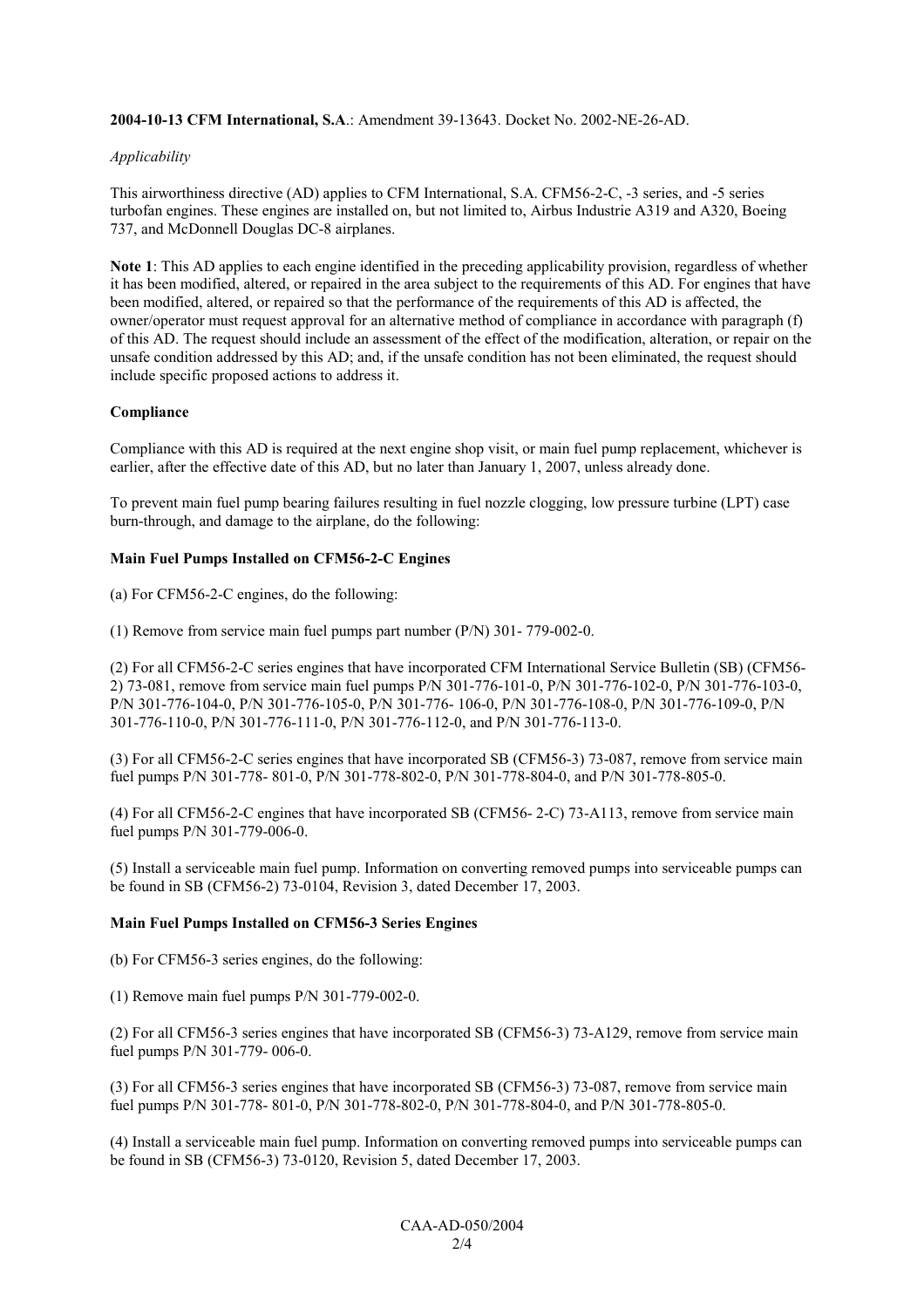# **2004-10-13 CFM International, S.A**.: Amendment 39-13643. Docket No. 2002-NE-26-AD.

# *Applicability*

This airworthiness directive (AD) applies to CFM International, S.A. CFM56-2-C, -3 series, and -5 series turbofan engines. These engines are installed on, but not limited to, Airbus Industrie A319 and A320, Boeing 737, and McDonnell Douglas DC-8 airplanes.

**Note 1**: This AD applies to each engine identified in the preceding applicability provision, regardless of whether it has been modified, altered, or repaired in the area subject to the requirements of this AD. For engines that have been modified, altered, or repaired so that the performance of the requirements of this AD is affected, the owner/operator must request approval for an alternative method of compliance in accordance with paragraph (f) of this AD. The request should include an assessment of the effect of the modification, alteration, or repair on the unsafe condition addressed by this AD; and, if the unsafe condition has not been eliminated, the request should include specific proposed actions to address it.

# **Compliance**

Compliance with this AD is required at the next engine shop visit, or main fuel pump replacement, whichever is earlier, after the effective date of this AD, but no later than January 1, 2007, unless already done.

To prevent main fuel pump bearing failures resulting in fuel nozzle clogging, low pressure turbine (LPT) case burn-through, and damage to the airplane, do the following:

# **Main Fuel Pumps Installed on CFM56-2-C Engines**

(a) For CFM56-2-C engines, do the following:

(1) Remove from service main fuel pumps part number (P/N) 301- 779-002-0.

(2) For all CFM56-2-C series engines that have incorporated CFM International Service Bulletin (SB) (CFM56- 2) 73-081, remove from service main fuel pumps P/N 301-776-101-0, P/N 301-776-102-0, P/N 301-776-103-0, P/N 301-776-104-0, P/N 301-776-105-0, P/N 301-776- 106-0, P/N 301-776-108-0, P/N 301-776-109-0, P/N 301-776-110-0, P/N 301-776-111-0, P/N 301-776-112-0, and P/N 301-776-113-0.

(3) For all CFM56-2-C series engines that have incorporated SB (CFM56-3) 73-087, remove from service main fuel pumps P/N 301-778- 801-0, P/N 301-778-802-0, P/N 301-778-804-0, and P/N 301-778-805-0.

(4) For all CFM56-2-C engines that have incorporated SB (CFM56- 2-C) 73-A113, remove from service main fuel pumps P/N 301-779-006-0.

(5) Install a serviceable main fuel pump. Information on converting removed pumps into serviceable pumps can be found in SB (CFM56-2) 73-0104, Revision 3, dated December 17, 2003.

# **Main Fuel Pumps Installed on CFM56-3 Series Engines**

(b) For CFM56-3 series engines, do the following:

(1) Remove main fuel pumps P/N 301-779-002-0.

(2) For all CFM56-3 series engines that have incorporated SB (CFM56-3) 73-A129, remove from service main fuel pumps P/N 301-779- 006-0.

(3) For all CFM56-3 series engines that have incorporated SB (CFM56-3) 73-087, remove from service main fuel pumps P/N 301-778- 801-0, P/N 301-778-802-0, P/N 301-778-804-0, and P/N 301-778-805-0.

(4) Install a serviceable main fuel pump. Information on converting removed pumps into serviceable pumps can be found in SB (CFM56-3) 73-0120, Revision 5, dated December 17, 2003.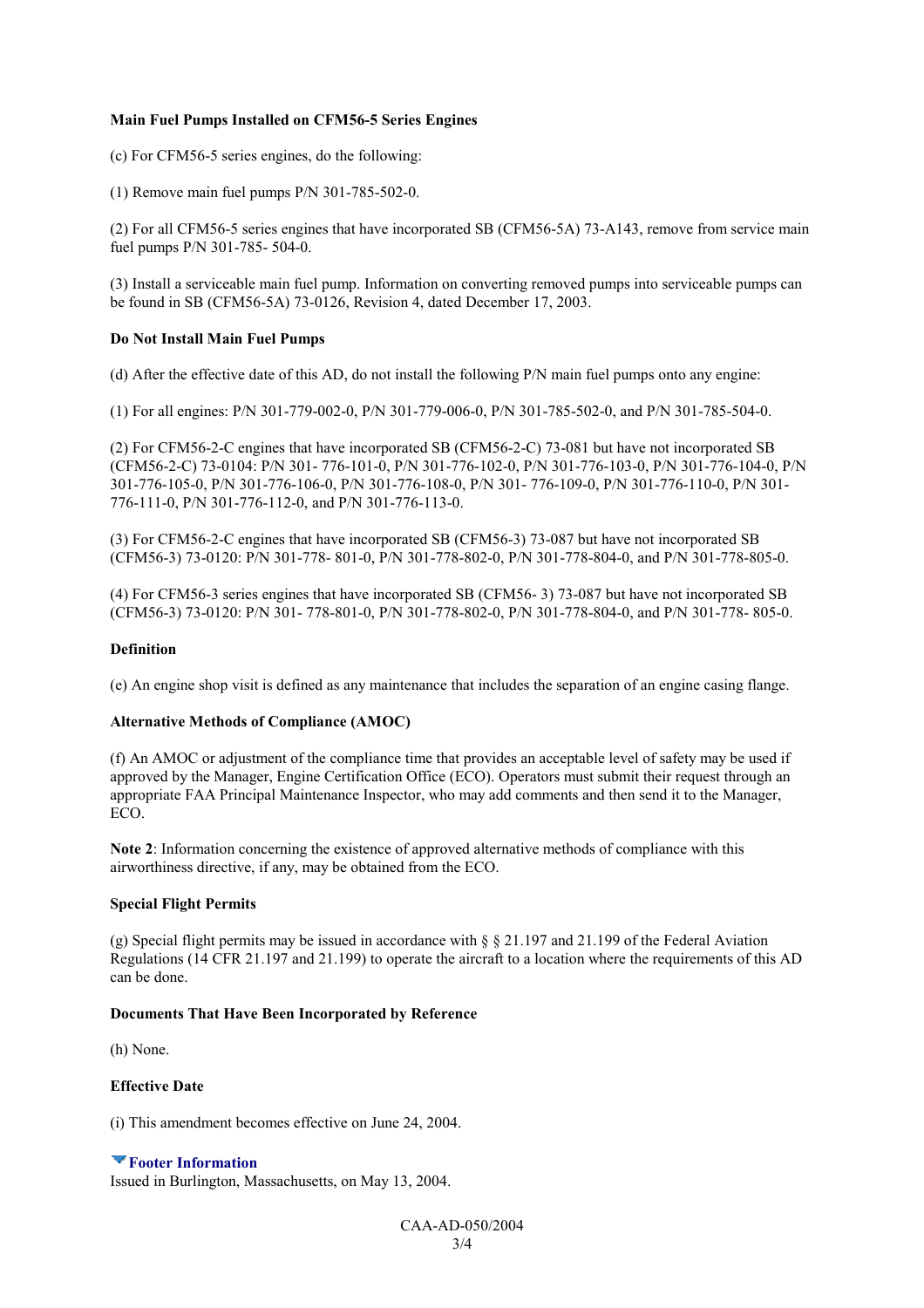# **Main Fuel Pumps Installed on CFM56-5 Series Engines**

(c) For CFM56-5 series engines, do the following:

(1) Remove main fuel pumps P/N 301-785-502-0.

(2) For all CFM56-5 series engines that have incorporated SB (CFM56-5A) 73-A143, remove from service main fuel pumps P/N 301-785- 504-0.

(3) Install a serviceable main fuel pump. Information on converting removed pumps into serviceable pumps can be found in SB (CFM56-5A) 73-0126, Revision 4, dated December 17, 2003.

#### **Do Not Install Main Fuel Pumps**

(d) After the effective date of this AD, do not install the following P/N main fuel pumps onto any engine:

(1) For all engines: P/N 301-779-002-0, P/N 301-779-006-0, P/N 301-785-502-0, and P/N 301-785-504-0.

(2) For CFM56-2-C engines that have incorporated SB (CFM56-2-C) 73-081 but have not incorporated SB (CFM56-2-C) 73-0104: P/N 301- 776-101-0, P/N 301-776-102-0, P/N 301-776-103-0, P/N 301-776-104-0, P/N 301-776-105-0, P/N 301-776-106-0, P/N 301-776-108-0, P/N 301- 776-109-0, P/N 301-776-110-0, P/N 301- 776-111-0, P/N 301-776-112-0, and P/N 301-776-113-0.

(3) For CFM56-2-C engines that have incorporated SB (CFM56-3) 73-087 but have not incorporated SB (CFM56-3) 73-0120: P/N 301-778- 801-0, P/N 301-778-802-0, P/N 301-778-804-0, and P/N 301-778-805-0.

(4) For CFM56-3 series engines that have incorporated SB (CFM56- 3) 73-087 but have not incorporated SB (CFM56-3) 73-0120: P/N 301- 778-801-0, P/N 301-778-802-0, P/N 301-778-804-0, and P/N 301-778- 805-0.

#### **Definition**

(e) An engine shop visit is defined as any maintenance that includes the separation of an engine casing flange.

# **Alternative Methods of Compliance (AMOC)**

(f) An AMOC or adjustment of the compliance time that provides an acceptable level of safety may be used if approved by the Manager, Engine Certification Office (ECO). Operators must submit their request through an appropriate FAA Principal Maintenance Inspector, who may add comments and then send it to the Manager, ECO.

**Note 2**: Information concerning the existence of approved alternative methods of compliance with this airworthiness directive, if any, may be obtained from the ECO.

#### **Special Flight Permits**

(g) Special flight permits may be issued in accordance with  $\S$   $\S$  21.197 and 21.199 of the Federal Aviation Regulations (14 CFR 21.197 and 21.199) to operate the aircraft to a location where the requirements of this AD can be done.

#### **Documents That Have Been Incorporated by Reference**

(h) None.

# **Effective Date**

(i) This amendment becomes effective on June 24, 2004.

# **Footer Information**

Issued in Burlington, Massachusetts, on May 13, 2004.